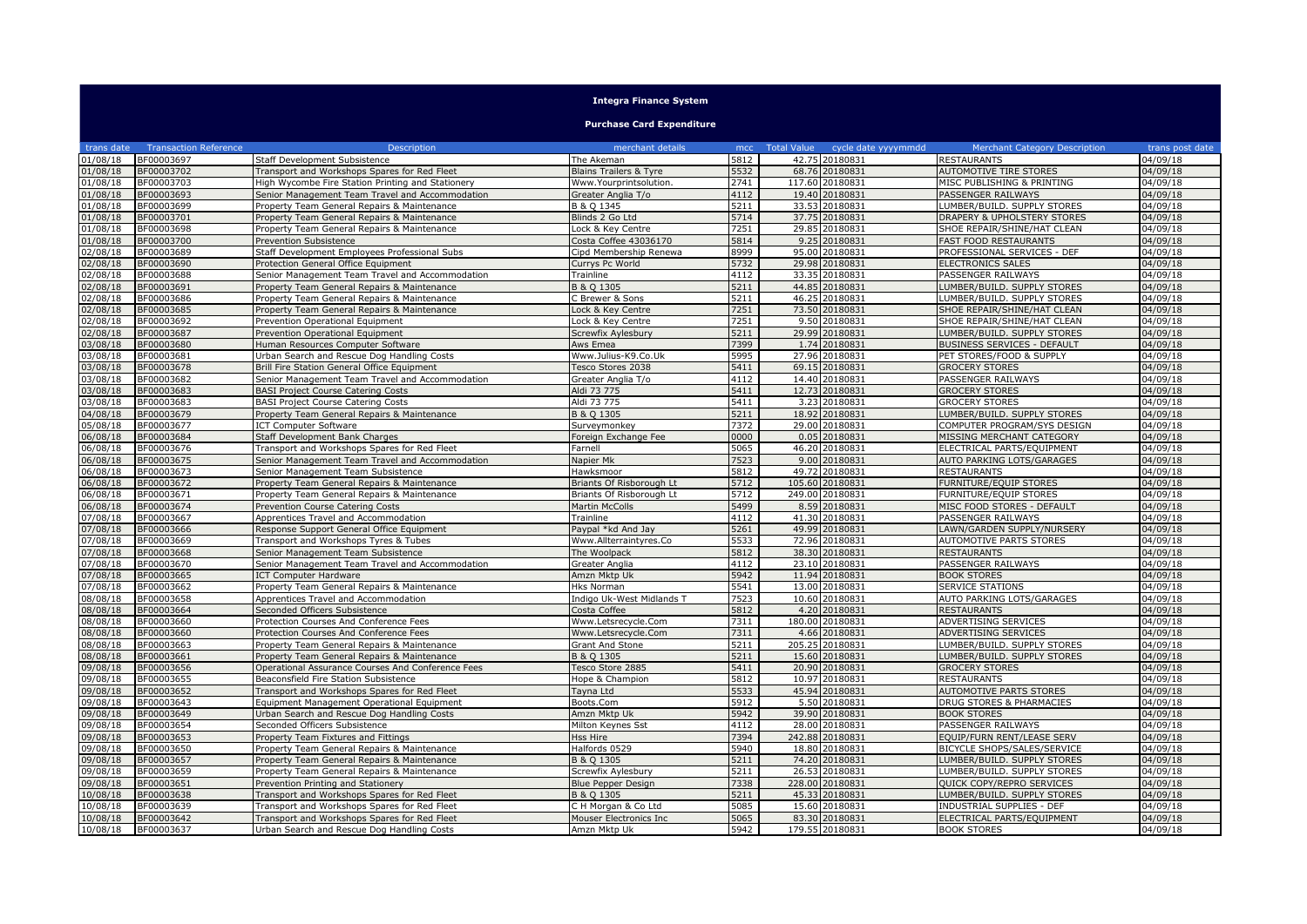| <b>Integra Finance System</b> |                              |                                                   |                                   |      |                                        |                                      |                 |  |
|-------------------------------|------------------------------|---------------------------------------------------|-----------------------------------|------|----------------------------------------|--------------------------------------|-----------------|--|
|                               |                              |                                                   | <b>Purchase Card Expenditure</b>  |      |                                        |                                      |                 |  |
| trans date                    | <b>Transaction Reference</b> | Description                                       | merchant details                  |      | mcc Total Value<br>cycle date yyyymmdd | <b>Merchant Category Description</b> | trans post date |  |
| 01/08/18                      | BF00003697                   | Staff Development Subsistence                     | The Akeman                        | 5812 | 42.75 20180831                         | <b>RESTAURANTS</b>                   | 04/09/18        |  |
| 01/08/18                      | BF00003702                   | Transport and Workshops Spares for Red Fleet      | <b>Blains Trailers &amp; Tyre</b> | 5532 | 68.76 20180831                         | AUTOMOTIVE TIRE STORES               | 04/09/18        |  |
| 01/08/18                      | BF00003703                   | High Wycombe Fire Station Printing and Stationery | Www.Yourprintsolution             | 2741 | 117.60 20180831                        | MISC PUBLISHING & PRINTING           | 04/09/18        |  |
| 01/08/18                      | BF00003693                   | Senior Management Team Travel and Accommodation   | Greater Anglia T/o                | 4112 | 19.40 20180831                         | PASSENGER RAILWAYS                   | 04/09/18        |  |
| 01/08/18                      | BF00003699                   | Property Team General Repairs & Maintenance       | B & Q 1345                        | 5211 | 33.53 20180831                         | LUMBER/BUILD. SUPPLY STORES          | 04/09/18        |  |
| 01/08/18                      | BF00003701                   | Property Team General Repairs & Maintenance       | Blinds 2 Go Ltd                   | 5714 | 37.75 20180831                         | DRAPERY & UPHOLSTERY STORES          | 04/09/18        |  |
| 01/08/18                      | BF00003698                   | Property Team General Repairs & Maintenance       | Lock & Key Centre                 | 7251 | 29.85 20180831                         | SHOE REPAIR/SHINE/HAT CLEAN          | 04/09/18        |  |
| 01/08/18                      | BF00003700                   | Prevention Subsistence                            | Costa Coffee 43036170             | 5814 | 9.25 20180831                          | FAST FOOD RESTAURANTS                | 04/09/18        |  |
| 02/08/18                      | BF00003689                   | Staff Development Employees Professional Subs     | Cipd Membership Renewa            | 8999 | 95.00 20180831                         | PROFESSIONAL SERVICES - DEF          | 04/09/18        |  |
| 02/08/18                      | BF00003690                   | Protection General Office Equipment               | Currys Pc World                   | 5732 | 29.98 20180831                         | <b>ELECTRONICS SALES</b>             | 04/09/18        |  |
| 02/08/18                      | BF00003688                   | Senior Management Team Travel and Accommodation   | Trainline                         | 4112 | 33.35 20180831                         | PASSENGER RAILWAYS                   | 04/09/18        |  |
| 02/08/18                      | BF00003691                   | Property Team General Repairs & Maintenance       | B & Q 1305                        | 5211 | 44.85 20180831                         | LUMBER/BUILD. SUPPLY STORES          | 04/09/18        |  |
| 02/08/18                      | BF00003686                   | Property Team General Repairs & Maintenance       | C Brewer & Sons                   | 5211 | 46.25 20180831                         | LUMBER/BUILD. SUPPLY STORES          | 04/09/18        |  |
| 02/08/18                      | BF00003685                   | Property Team General Repairs & Maintenance       | Lock & Key Centre                 | 7251 | 73.50 20180831                         | SHOE REPAIR/SHINE/HAT CLEAN          | 04/09/18        |  |
| 02/08/18                      | BF00003692                   | Prevention Operational Equipment                  | Lock & Key Centre                 | 7251 | 9.50 20180831                          | SHOE REPAIR/SHINE/HAT CLEAN          | 04/09/18        |  |
| 02/08/18                      | BF00003687                   | Prevention Operational Equipment                  | Screwfix Aylesbury                | 5211 | 29.99 20180831                         | LUMBER/BUILD. SUPPLY STORES          | 04/09/18        |  |
| 03/08/18                      | BF00003680                   | Human Resources Computer Software                 | Aws Emea                          | 7399 | 1.74 20180831                          | <b>BUSINESS SERVICES - DEFAULT</b>   | 04/09/18        |  |
| 03/08/18                      | BF00003681                   | Urban Search and Rescue Dog Handling Costs        | Www.Julius-K9.Co.Uk               | 5995 | 27.96 20180831                         | PET STORES/FOOD & SUPPLY             | 04/09/18        |  |
| 03/08/18                      | BF00003678                   | Brill Fire Station General Office Equipment       | Tesco Stores 2038                 | 5411 | 69.15 20180831                         | <b>GROCERY STORES</b>                | 04/09/18        |  |
| 03/08/18                      | BF00003682                   | Senior Management Team Travel and Accommodation   | Greater Anglia T/o                | 4112 | 14.40 20180831                         | PASSENGER RAILWAYS                   | 04/09/18        |  |
| 03/08/18                      | BF00003683                   | <b>BASI Project Course Catering Costs</b>         | Aldi 73 775                       | 5411 | 12.73 20180831                         | <b>GROCERY STORES</b>                | 04/09/18        |  |
| 03/08/18                      | BF00003683                   | <b>BASI Project Course Catering Costs</b>         | Aldi 73 775                       | 5411 | 3.23 20180831                          | <b>GROCERY STORES</b>                | 04/09/18        |  |
| 04/08/18                      | BF00003679                   | Property Team General Repairs & Maintenance       | B & Q 1305                        | 5211 | 18.92 20180831                         | LUMBER/BUILD. SUPPLY STORES          | 04/09/18        |  |
| 05/08/18                      | BF00003677                   | <b>ICT Computer Software</b>                      | Surveymonkey                      | 7372 | 29.00 20180831                         | COMPUTER PROGRAM/SYS DESIGN          | 04/09/18        |  |
| 06/08/18                      | BF00003684                   | Staff Development Bank Charges                    | Foreign Exchange Fee              | 0000 | 0.05 20180831                          | MISSING MERCHANT CATEGORY            | 04/09/18        |  |
| 06/08/18                      | BF00003676                   | Transport and Workshops Spares for Red Fleet      | Farnell                           | 5065 | 46.20 20180831                         | ELECTRICAL PARTS/EQUIPMENT           | 04/09/18        |  |
| 06/08/18                      | BF00003675                   | Senior Management Team Travel and Accommodation   | Napier Mk                         | 7523 | 9.00 20180831                          | <b>AUTO PARKING LOTS/GARAGES</b>     | 04/09/18        |  |
| 06/08/18                      | BF00003673                   | Senior Management Team Subsistence                | Hawksmoor                         | 5812 | 49.72 20180831                         | <b>RESTAURANTS</b>                   | 04/09/18        |  |
| 06/08/18                      | BF00003672                   | Property Team General Repairs & Maintenance       | Briants Of Risborough Lt          | 5712 | 105.60 20180831                        | FURNITURE/EQUIP STORES               | 04/09/18        |  |
| 06/08/18                      | BF00003671                   | Property Team General Repairs & Maintenance       | Briants Of Risborough Lt          | 5712 | 249.00 20180831                        | FURNITURE/EQUIP STORES               | 04/09/18        |  |
| 06/08/18                      | BF00003674                   | Prevention Course Catering Costs                  | Martin McColls                    | 5499 | 8.59 20180831                          | MISC FOOD STORES - DEFAULT           | 04/09/18        |  |
| 07/08/18                      | BF00003667                   | Apprentices Travel and Accommodation              | Trainline                         | 4112 | 41.30 20180831                         | PASSENGER RAILWAYS                   | 04/09/18        |  |
| 07/08/18                      | BF00003666                   | Response Support General Office Equipment         | Paypal *kd And Jay                | 5261 | 49.99 20180831                         | LAWN/GARDEN SUPPLY/NURSERY           | 04/09/18        |  |
| 07/08/18                      | BF00003669                   | Transport and Workshops Tyres & Tubes             | Www.Allterraintyres.Co            | 5533 | 72.96 20180831                         | AUTOMOTIVE PARTS STORES              | 04/09/18        |  |
| 07/08/18                      | BF00003668                   | Senior Management Team Subsistence                | The Woolpack                      | 5812 | 38.30 20180831                         | <b>RESTAURANTS</b>                   | 04/09/18        |  |
| 07/08/18                      | BF00003670                   | Senior Management Team Travel and Accommodation   | Greater Anglia                    | 4112 | 23.10 20180831                         | PASSENGER RAILWAYS                   | 04/09/18        |  |
| 07/08/18                      | BF00003665                   | <b>ICT Computer Hardware</b>                      | Amzn Mktp Uk                      | 5942 | 11.94 20180831                         | <b>BOOK STORES</b>                   | 04/09/18        |  |
| 07/08/18                      | BF00003662                   | Property Team General Repairs & Maintenance       | <b>Hks Norman</b>                 | 5541 | 13.00 20180831                         | SERVICE STATIONS                     | 04/09/18        |  |
| 08/08/18                      | BF00003658                   | Apprentices Travel and Accommodation              | Indigo Uk-West Midlands T         | 7523 | 10.60 20180831                         | AUTO PARKING LOTS/GARAGES            | 04/09/18        |  |
| 08/08/18                      | BF00003664                   | Seconded Officers Subsistence                     | Costa Coffee                      | 5812 | 4.20 20180831                          | <b>RESTAURANTS</b>                   | 04/09/18        |  |
| 08/08/18                      | BF00003660                   | Protection Courses And Conference Fees            | Www.Letsrecycle.Com               | 7311 | 180.00 20180831                        | ADVERTISING SERVICES                 | 04/09/18        |  |
| 08/08/18                      | BF00003660                   | Protection Courses And Conference Fees            | Www.Letsrecycle.Com               | 7311 | 4.66 20180831                          | ADVERTISING SERVICES                 | 04/09/18        |  |
| 08/08/18                      | BF00003663                   | Property Team General Repairs & Maintenance       | Grant And Stone                   | 5211 | 205.25 20180831                        | LUMBER/BUILD. SUPPLY STORES          | 04/09/18        |  |
| 08/08/18                      | BF00003661                   | Property Team General Repairs & Maintenance       | B & Q 1305                        | 5211 | 15.60 20180831                         | LUMBER/BUILD. SUPPLY STORES          | 04/09/18        |  |
| 09/08/18                      | BF00003656                   | Operational Assurance Courses And Conference Fees | Tesco Store 2885                  | 5411 | 20.90 20180831                         | <b>GROCERY STORES</b>                | 04/09/18        |  |
| 09/08/18                      | BF00003655                   | Beaconsfield Fire Station Subsistence             | Hope & Champion                   | 5812 | 10.97 20180831                         | <b>RESTAURANTS</b>                   | 04/09/18        |  |
| 09/08/18                      | BF00003652                   | Transport and Workshops Spares for Red Fleet      | Tavna Ltd                         | 5533 | 45.94 20180831                         | <b>AUTOMOTIVE PARTS STORES</b>       | 04/09/18        |  |
| 09/08/18                      | BF00003643                   | Equipment Management Operational Equipment        | Boots.Com                         | 5912 | 5.50 20180831                          | DRUG STORES & PHARMACIES             | 04/09/18        |  |
| 09/08/18                      | BF00003649                   | Urban Search and Rescue Dog Handling Costs        | Amzn Mktp Uk                      | 5942 | 39.90 20180831                         | <b>BOOK STORES</b>                   | 04/09/18        |  |
| 09/08/18                      | BF00003654                   | Seconded Officers Subsistence                     | Milton Keynes Sst                 | 4112 | 28.00 20180831                         | PASSENGER RAILWAYS                   | 04/09/18        |  |
| 09/08/18                      | BF00003653                   | Property Team Fixtures and Fittings               | Hss Hire                          | 7394 | 242.88 20180831                        | EQUIP/FURN RENT/LEASE SERV           | 04/09/18        |  |
| 09/08/18                      | BF00003650                   | Property Team General Repairs & Maintenance       | Halfords 0529                     | 5940 | 18.80 20180831                         | BICYCLE SHOPS/SALES/SERVICE          | 04/09/18        |  |
| 09/08/18                      | BF00003657                   | Property Team General Repairs & Maintenance       | B & Q 1305                        | 5211 | 74.20 20180831                         | LUMBER/BUILD. SUPPLY STORES          | 04/09/18        |  |
| 09/08/18                      | BF00003659                   | Property Team General Repairs & Maintenance       | Screwfix Aylesbury                | 5211 | 26.53 20180831                         | LUMBER/BUILD. SUPPLY STORES          | 04/09/18        |  |
| 09/08/18                      | BF00003651                   | Prevention Printing and Stationery                | Blue Pepper Design                | 7338 | 228.00 20180831                        | QUICK COPY/REPRO SERVICES            | 04/09/18        |  |
| 10/08/18                      | BF00003638                   | Transport and Workshops Spares for Red Fleet      | B & Q 1305                        | 5211 | 45.33 20180831                         | LUMBER/BUILD. SUPPLY STORES          | 04/09/18        |  |
| 10/08/18                      | BF00003639                   | Transport and Workshops Spares for Red Fleet      | C H Morgan & Co Ltd               | 5085 | 15.60 20180831                         | INDUSTRIAL SUPPLIES - DEF            | 04/09/18        |  |
| 10/08/18                      | BF00003642                   | Transport and Workshops Spares for Red Fleet      | Mouser Electronics Inc            | 5065 | 83.30 20180831                         | ELECTRICAL PARTS/EQUIPMENT           | 04/09/18        |  |
| 10/08/18                      | BF00003637                   | Urban Search and Rescue Dog Handling Costs        | Amzn Mktp Uk                      | 5942 | 179.55 20180831                        | <b>BOOK STORES</b>                   | 04/09/18        |  |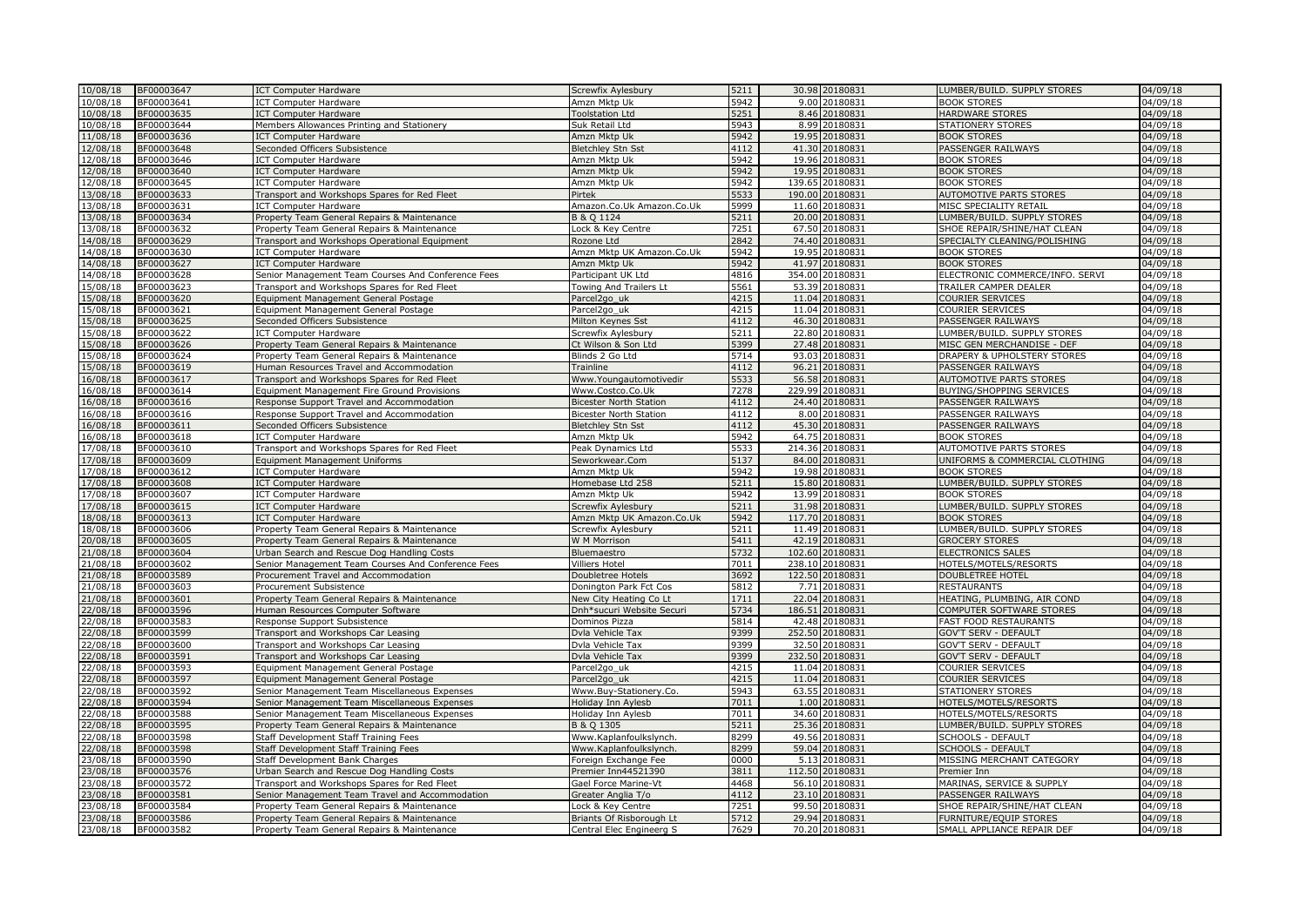| 10/08/18             | BF00003647               | <b>ICT Computer Hardware</b>                                                            | Screwfix Aylesbury            | 5211         | 30.98 20180831                      | LUMBER/BUILD. SUPPLY STORES                               | 04/09/18             |
|----------------------|--------------------------|-----------------------------------------------------------------------------------------|-------------------------------|--------------|-------------------------------------|-----------------------------------------------------------|----------------------|
| 10/08/18             | BF00003641               | <b>ICT Computer Hardware</b>                                                            | Amzn Mktp Uk                  | 5942         | 9.00 20180831                       | <b>BOOK STORES</b>                                        | 04/09/18             |
| 10/08/18             | BF00003635               | <b>ICT Computer Hardware</b>                                                            | <b>Toolstation Ltd</b>        | 5251         | 8.46 20180831                       | HARDWARE STORES                                           | 04/09/18             |
| 10/08/18             | BF00003644               | Members Allowances Printing and Stationery                                              | Suk Retail Ltd                | 5943         | 8.99 20180831                       | STATIONERY STORES                                         | 04/09/18             |
| 11/08/18             | BF00003636               | <b>ICT Computer Hardware</b>                                                            | Amzn Mktp Uk                  | 5942         | 19.95 20180831                      | <b>BOOK STORES</b>                                        | 04/09/18             |
| 12/08/18             | BF00003648               | Seconded Officers Subsistence                                                           | <b>Bletchley Stn Sst</b>      | 4112         | 41.30 20180831                      | PASSENGER RAILWAYS                                        | 04/09/18             |
| 12/08/18             | BF00003646               | <b>ICT Computer Hardware</b>                                                            | Amzn Mktp Uk                  | 5942         | 19.96 20180831                      | <b>BOOK STORES</b>                                        | 04/09/18             |
| 12/08/18             | BF00003640               | <b>ICT Computer Hardware</b>                                                            | Amzn Mktp Uk                  | 5942         | 19.95 20180831                      | <b>BOOK STORES</b>                                        | 04/09/18             |
| 12/08/18             | BF00003645               | <b>ICT Computer Hardware</b>                                                            | Amzn Mktp Uk                  | 5942         | 139.65 20180831                     | <b>BOOK STORES</b>                                        | 04/09/18             |
| 13/08/18             | BF00003633               | Transport and Workshops Spares for Red Fleet                                            | Pirtek                        | 5533         | 190.00 20180831                     | AUTOMOTIVE PARTS STORES                                   | 04/09/18             |
| 13/08/18             | BF00003631               | <b>ICT Computer Hardware</b>                                                            | Amazon.Co.Uk Amazon.Co.Uk     | 5999         | 11.60 20180831                      | MISC SPECIALITY RETAIL                                    | 04/09/18             |
| 13/08/18             | BF00003634               | Property Team General Repairs & Maintenance                                             | B & O 1124                    | 5211         | 20.00 20180831                      | LUMBER/BUILD. SUPPLY STORES                               | 04/09/18             |
| 13/08/18             | BF00003632               | Property Team General Repairs & Maintenance                                             | Lock & Key Centre             | 7251         | 67.50 20180831                      | SHOE REPAIR/SHINE/HAT CLEAN                               | 04/09/18             |
| 14/08/18             | BF00003629               | Transport and Workshops Operational Equipment                                           | Rozone Ltd                    | 2842         | 74.40 20180831                      | SPECIALTY CLEANING/POLISHING                              | 04/09/18             |
| 14/08/18             | BF00003630               | <b>ICT Computer Hardware</b>                                                            | Amzn Mktp UK Amazon.Co.Uk     | 5942         | 19.95 20180831                      | <b>BOOK STORES</b>                                        | 04/09/18             |
| 14/08/18             | BF00003627               | <b>ICT Computer Hardware</b>                                                            | Amzn Mktp Uk                  | 5942         | 41.97 20180831                      | <b>BOOK STORES</b>                                        | 04/09/18             |
| 14/08/18             | BF00003628               | Senior Management Team Courses And Conference Fees                                      | Participant UK Ltd            | 4816         | 354.00 20180831                     | ELECTRONIC COMMERCE/INFO. SERVI                           | 04/09/18             |
| 15/08/18             | BF00003623               | Transport and Workshops Spares for Red Fleet                                            | Towing And Trailers Lt        | 5561         | 53.39 20180831                      | TRAILER CAMPER DEALER                                     | 04/09/18             |
| 15/08/18             | BF00003620               | Equipment Management General Postage                                                    | Parcel2go_uk                  | 4215         | 11.04 20180831                      | <b>COURIER SERVICES</b>                                   | 04/09/18             |
| 15/08/18             | BF00003621               | Equipment Management General Postage                                                    | Parcel2go uk                  | 4215<br>4112 | 11.04 20180831                      | <b>COURIER SERVICES</b>                                   | 04/09/18             |
| 15/08/18             | BF00003625               | Seconded Officers Subsistence                                                           | Milton Keynes Sst             | 5211         | 46.30 20180831                      | PASSENGER RAILWAYS                                        | 04/09/18             |
| 15/08/18<br>15/08/18 | BF00003622<br>BF00003626 | <b>ICT Computer Hardware</b><br>Property Team General Repairs & Maintenance             | Screwfix Aylesbury            | 5399         | 22.80 20180831<br>27.48<br>20180831 | LUMBER/BUILD. SUPPLY STORES<br>MISC GEN MERCHANDISE - DEF | 04/09/18<br>04/09/18 |
|                      |                          |                                                                                         | Ct Wilson & Son Ltd           |              | 93.03 20180831                      |                                                           |                      |
| 15/08/18<br>15/08/18 | BF00003624<br>BF00003619 | Property Team General Repairs & Maintenance<br>Human Resources Travel and Accommodation | Blinds 2 Go Ltd<br>Trainline  | 5714<br>4112 | 96.21 20180831                      | DRAPERY & UPHOLSTERY STORES<br>PASSENGER RAILWAYS         | 04/09/18<br>04/09/18 |
| 16/08/18             | BF00003617               | Transport and Workshops Spares for Red Fleet                                            | Www.Youngautomotivedir        | 5533         | 56.58 20180831                      | <b>AUTOMOTIVE PARTS STORES</b>                            | 04/09/18             |
| 16/08/18             | BF00003614               | Equipment Management Fire Ground Provisions                                             | Www.Costco.Co.Uk              | 7278         | 229.99 20180831                     | <b>BUYING/SHOPPING SERVICES</b>                           | 04/09/18             |
| 16/08/18             | BF00003616               | Response Support Travel and Accommodation                                               | <b>Bicester North Station</b> | 4112         | 24.40 20180831                      | PASSENGER RAILWAYS                                        | 04/09/18             |
| 16/08/18             | BF00003616               | Response Support Travel and Accommodation                                               | <b>Bicester North Station</b> | 4112         | 8.00 20180831                       | PASSENGER RAILWAYS                                        | 04/09/18             |
| 16/08/18             | BF00003611               | Seconded Officers Subsistence                                                           | <b>Bletchley Stn Sst</b>      | 4112         | 45.30 20180831                      | PASSENGER RAILWAYS                                        | 04/09/18             |
| 16/08/18             | BF00003618               | <b>ICT</b> Computer Hardware                                                            | Amzn Mktp Uk                  | 5942         | 64.75 20180831                      | <b>BOOK STORES</b>                                        | 04/09/18             |
| 17/08/18             | BF00003610               | Transport and Workshops Spares for Red Fleet                                            | Peak Dynamics Ltd             | 5533         | 214.36 20180831                     | AUTOMOTIVE PARTS STORES                                   | 04/09/18             |
| 17/08/18             | BF00003609               | Equipment Management Uniforms                                                           | Seworkwear.Com                | 5137         | 84.00 20180831                      | UNIFORMS & COMMERCIAL CLOTHING                            | 04/09/18             |
| 17/08/18             | BF00003612               | <b>ICT Computer Hardware</b>                                                            | Amzn Mktp Uk                  | 5942         | 19.98 20180831                      | <b>BOOK STORES</b>                                        | 04/09/18             |
| 17/08/18             | BF00003608               | <b>ICT Computer Hardware</b>                                                            | Homebase Ltd 258              | 5211         | 15.80 20180831                      | LUMBER/BUILD. SUPPLY STORES                               | 04/09/18             |
| 17/08/18             | BF00003607               | <b>ICT Computer Hardware</b>                                                            | Amzn Mktp Uk                  | 5942         | 20180831<br>13.99                   | <b>BOOK STORES</b>                                        | 04/09/18             |
| 17/08/18             | BF00003615               | <b>ICT Computer Hardware</b>                                                            | Screwfix Aylesbury            | 5211         | 31.98 20180831                      | LUMBER/BUILD. SUPPLY STORES                               | 04/09/18             |
| 18/08/18             | BF00003613               | <b>ICT Computer Hardware</b>                                                            | Amzn Mktp UK Amazon.Co.Uk     | 5942         | 117.70 20180831                     | <b>BOOK STORES</b>                                        | 04/09/18             |
| 18/08/18             | BF00003606               | Property Team General Repairs & Maintenance                                             | Screwfix Aylesbury            | 5211         | 11.49 20180831                      | LUMBER/BUILD. SUPPLY STORES                               | 04/09/18             |
| 20/08/18             | BF00003605               | Property Team General Repairs & Maintenance                                             | W M Morrison                  | 5411         | 42.19 20180831                      | <b>GROCERY STORES</b>                                     | 04/09/18             |
| 21/08/18             | BF00003604               | Urban Search and Rescue Dog Handling Costs                                              | Bluemaestro                   | 5732         | 102.60 20180831                     | <b>ELECTRONICS SALES</b>                                  | 04/09/18             |
| 21/08/18             | BF00003602               | Senior Management Team Courses And Conference Fees                                      | <b>Villiers Hotel</b>         | 7011         | 238.10 20180831                     | HOTELS/MOTELS/RESORTS                                     | 04/09/18             |
| 21/08/18             | BF00003589               | Procurement Travel and Accommodation                                                    | Doubletree Hotels             | 3692         | 122.50 20180831                     | DOUBLETREE HOTEL                                          | 04/09/18             |
| 21/08/18             | BF00003603               | Procurement Subsistence                                                                 | Donington Park Fct Cos        | 5812         | 7.71 20180831                       | <b>RESTAURANTS</b>                                        | 04/09/18             |
| 21/08/18             | BF00003601               | Property Team General Repairs & Maintenance                                             | New City Heating Co Lt        | 1711         | 22.04 20180831                      | HEATING, PLUMBING, AIR COND                               | 04/09/18             |
| 22/08/18             | BF00003596               | Human Resources Computer Software                                                       | Dnh*sucuri Website Securi     | 5734         | 186.51<br>20180831                  | COMPUTER SOFTWARE STORES                                  | 04/09/18             |
| 22/08/18             | BF00003583               | Response Support Subsistence                                                            | Dominos Pizza                 | 5814         | 42.48 20180831                      | FAST FOOD RESTAURANTS                                     | 04/09/18             |
| 22/08/18             | BF00003599               | Transport and Workshops Car Leasing                                                     | Dvla Vehicle Tax              | 9399         | 252.50 20180831                     | <b>GOV'T SERV - DEFAULT</b>                               | 04/09/18             |
| 22/08/18             | BF00003600               | Transport and Workshops Car Leasing                                                     | Dvla Vehicle Tax              | 9399         | 32.50 20180831                      | <b>GOV'T SERV - DEFAULT</b>                               | 04/09/18             |
| 22/08/18             | BF00003591               | Transport and Workshops Car Leasing                                                     | Dvla Vehicle Tax              | 9399         | 232.50 20180831                     | <b>GOV'T SERV - DEFAULT</b>                               | 04/09/18             |
| 22/08/18             | BF00003593               | Equipment Management General Postage                                                    | Parcel2go uk                  | 4215         | 11.04 20180831                      | COURIER SERVICES                                          | 04/09/18             |
| 22/08/18             | BF00003597               | Equipment Management General Postage                                                    | Parcel2go_uk                  | 4215         | 11.04 20180831                      | <b>COURIER SERVICES</b>                                   | 04/09/18             |
| 22/08/18             | BF00003592               | Senior Management Team Miscellaneous Expenses                                           | Www.Buy-Stationery.Co.        | 5943         | 63.55 20180831                      | <b>STATIONERY STORES</b>                                  | 04/09/18             |
| 22/08/18             | BF00003594               | Senior Management Team Miscellaneous Expenses                                           | Holiday Inn Aylesb            | 7011         | 1.00 20180831                       | HOTELS/MOTELS/RESORTS                                     | 04/09/18             |
| 22/08/18             | BF00003588               | Senior Management Team Miscellaneous Expenses                                           | Holiday Inn Aylesb            | 7011         | 34.60 20180831                      | HOTELS/MOTELS/RESORTS                                     | 04/09/18             |
| 22/08/18             | BF00003595               | Property Team General Repairs & Maintenance                                             | B & O 1305                    | 5211         | 25.36 20180831                      | LUMBER/BUILD. SUPPLY STORES                               | 04/09/18             |
| 22/08/18             | BF00003598               | Staff Development Staff Training Fees                                                   | Www.Kaplanfoulkslynch.        | 8299         | 49.56 20180831                      | SCHOOLS - DEFAULT                                         | 04/09/18             |
| 22/08/18             | BF00003598               | Staff Development Staff Training Fees                                                   | Www.Kaplanfoulkslynch.        | 8299         | 59.04 20180831                      | <b>SCHOOLS - DEFAULT</b>                                  | 04/09/18             |
| 23/08/18             | BF00003590               | Staff Development Bank Charges                                                          | Foreign Exchange Fee          | 0000         | 5.13<br>20180831                    | MISSING MERCHANT CATEGORY                                 | 04/09/18             |
| 23/08/18             | BF00003576               | Urban Search and Rescue Dog Handling Costs                                              | Premier Inn44521390           | 3811         | 112.50 20180831                     | Premier Inn                                               | 04/09/18             |
| 23/08/18             | BF00003572               | Transport and Workshops Spares for Red Fleet                                            | Gael Force Marine-Vt          | 4468         | 56.10 20180831                      | MARINAS, SERVICE & SUPPLY                                 | 04/09/18             |
| 23/08/18             | BF00003581               | Senior Management Team Travel and Accommodation                                         | Greater Anglia T/o            | 4112         | 23.10 20180831                      | PASSENGER RAILWAYS                                        | 04/09/18             |
| 23/08/18             | BF00003584               | Property Team General Repairs & Maintenance                                             | Lock & Kev Centre             | 7251         | 99.50 20180831                      | SHOE REPAIR/SHINE/HAT CLEAN                               | 04/09/18             |
| 23/08/18             | BF00003586               | Property Team General Repairs & Maintenance                                             | Briants Of Risborough Lt      | 5712         | 29.94 20180831                      | FURNITURE/EQUIP STORES                                    | 04/09/18             |
| 23/08/18             | BF00003582               | Property Team General Repairs & Maintenance                                             | Central Elec Engineerg S      | 7629         | 70.20 20180831                      | SMALL APPLIANCE REPAIR DEF                                | 04/09/18             |